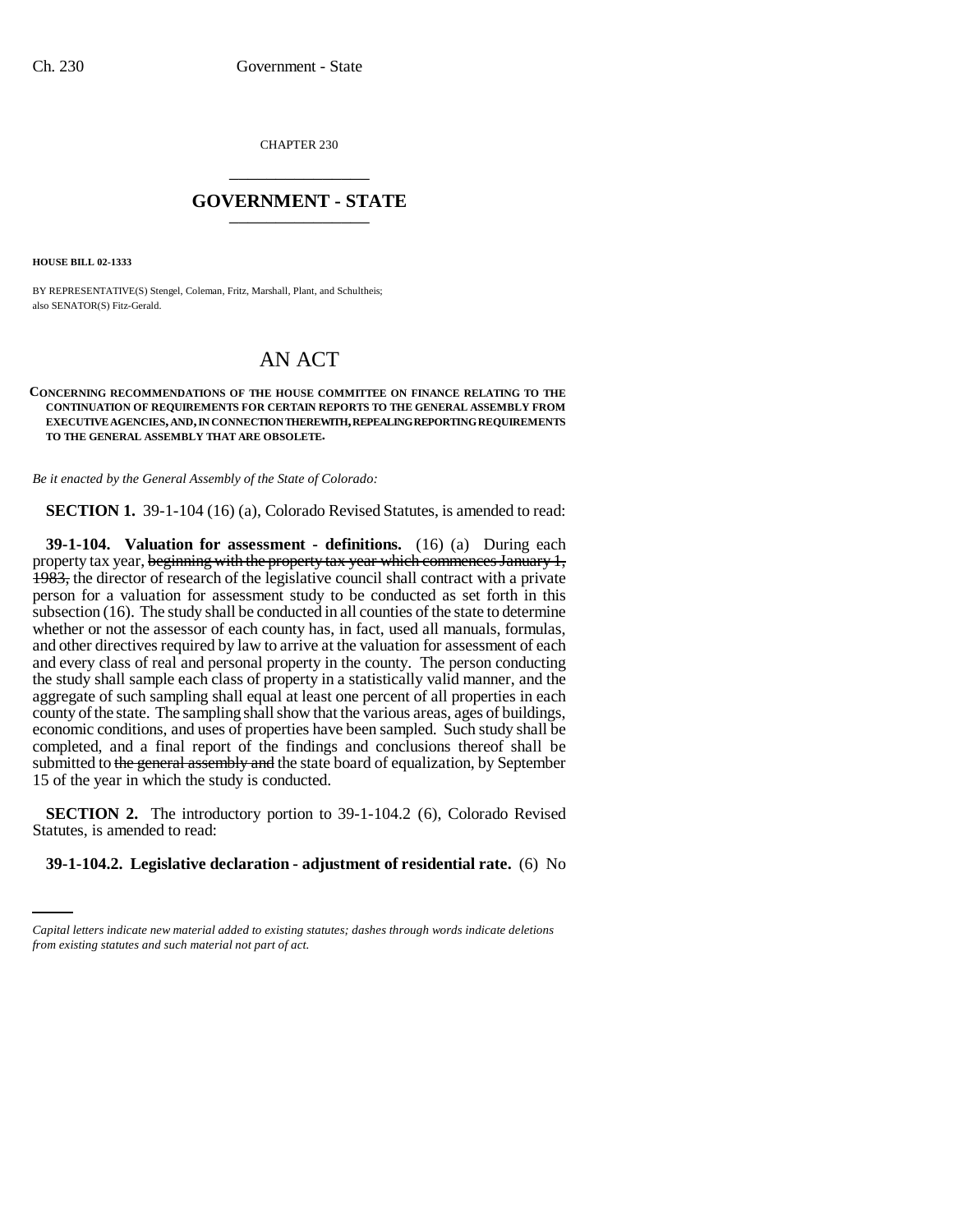CHAPTER 230 \_\_\_\_\_\_\_\_\_\_\_\_\_\_\_

## **GOVERNMENT - STATE** \_\_\_\_\_\_\_\_\_\_\_\_\_\_\_

**HOUSE BILL 02-1333**

BY REPRESENTATIVE(S) Stengel, Coleman, Fritz, Marshall, Plant, and Schultheis; also SENATOR(S) Fitz-Gerald.

## AN ACT

## **CONCERNING RECOMMENDATIONS OF THE HOUSE COMMITTEE ON FINANCE RELATING TO THE CONTINUATION OF REQUIREMENTS FOR CERTAIN REPORTS TO THE GENERAL ASSEMBLY FROM EXECUTIVE AGENCIES, AND, IN CONNECTION THEREWITH, REPEALING REPORTING REQUIREMENTS TO THE GENERAL ASSEMBLY THAT ARE OBSOLETE.**

*Be it enacted by the General Assembly of the State of Colorado:*

**SECTION 1.** 39-1-104 (16) (a), Colorado Revised Statutes, is amended to read:

**39-1-104. Valuation for assessment - definitions.** (16) (a) During each property tax year, beginning with the property tax year which commences January 1, 1983, the director of research of the legislative council shall contract with a private person for a valuation for assessment study to be conducted as set forth in this subsection (16). The study shall be conducted in all counties of the state to determine whether or not the assessor of each county has, in fact, used all manuals, formulas, and other directives required by law to arrive at the valuation for assessment of each and every class of real and personal property in the county. The person conducting the study shall sample each class of property in a statistically valid manner, and the aggregate of such sampling shall equal at least one percent of all properties in each county of the state. The sampling shall show that the various areas, ages of buildings, economic conditions, and uses of properties have been sampled. Such study shall be completed, and a final report of the findings and conclusions thereof shall be submitted to the general assembly and the state board of equalization, by September 15 of the year in which the study is conducted.

Statutes, is amended to read: **SECTION 2.** The introductory portion to 39-1-104.2 (6), Colorado Revised

## **39-1-104.2. Legislative declaration - adjustment of residential rate.** (6) No

*Capital letters indicate new material added to existing statutes; dashes through words indicate deletions from existing statutes and such material not part of act.*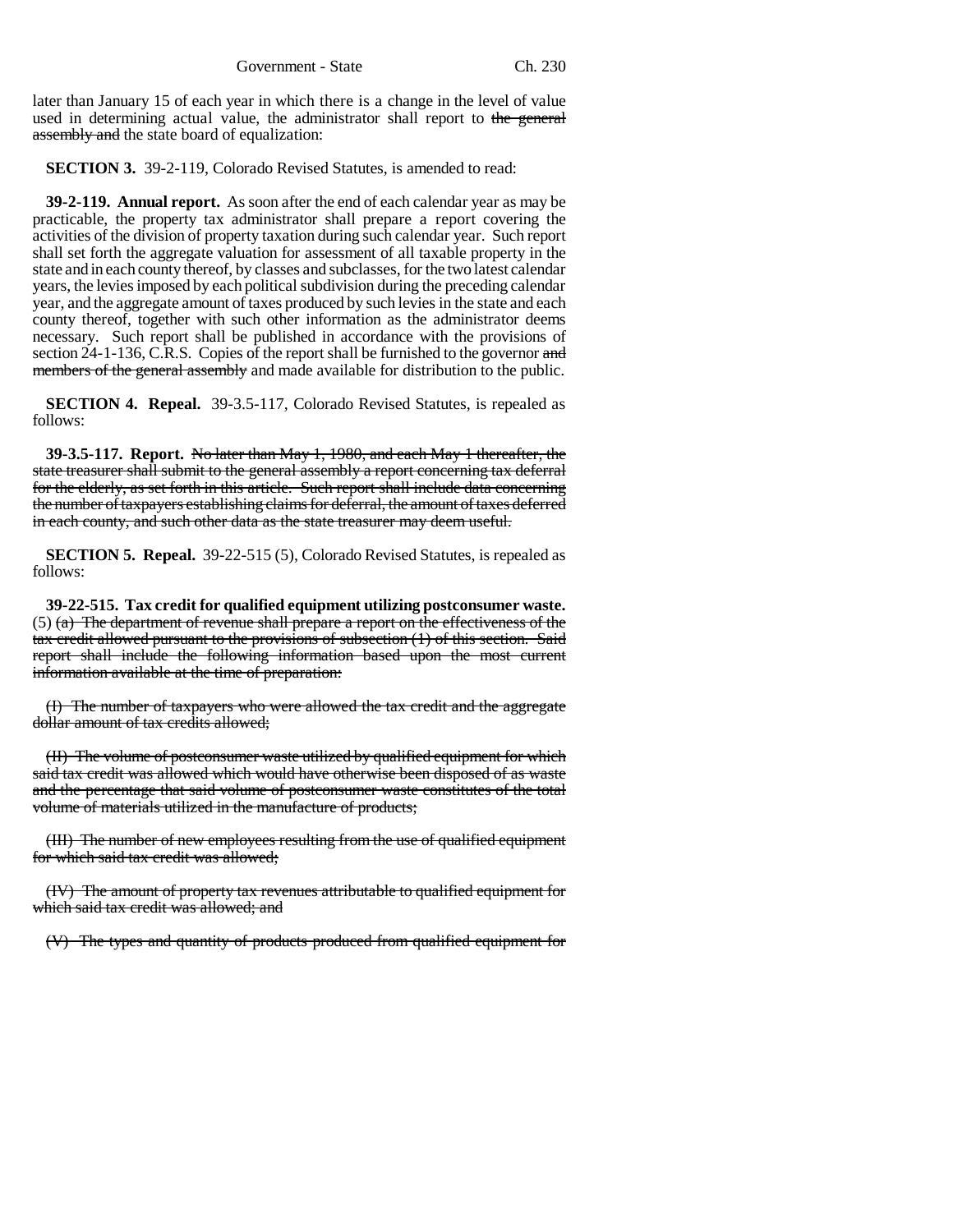Government - State Ch. 230

later than January 15 of each year in which there is a change in the level of value used in determining actual value, the administrator shall report to the general assembly and the state board of equalization:

**SECTION 3.** 39-2-119, Colorado Revised Statutes, is amended to read:

**39-2-119. Annual report.** As soon after the end of each calendar year as may be practicable, the property tax administrator shall prepare a report covering the activities of the division of property taxation during such calendar year. Such report shall set forth the aggregate valuation for assessment of all taxable property in the state and in each county thereof, by classes and subclasses, for the two latest calendar years, the levies imposed by each political subdivision during the preceding calendar year, and the aggregate amount of taxes produced by such levies in the state and each county thereof, together with such other information as the administrator deems necessary. Such report shall be published in accordance with the provisions of section 24-1-136, C.R.S. Copies of the report shall be furnished to the governor and members of the general assembly and made available for distribution to the public.

**SECTION 4. Repeal.** 39-3.5-117, Colorado Revised Statutes, is repealed as follows:

**39-3.5-117. Report.** No later than May 1, 1980, and each May 1 thereafter, the state treasurer shall submit to the general assembly a report concerning tax deferral for the elderly, as set forth in this article. Such report shall include data concerning the number of taxpayers establishing claims for deferral, the amount of taxes deferred in each county, and such other data as the state treasurer may deem useful.

**SECTION 5. Repeal.** 39-22-515 (5), Colorado Revised Statutes, is repealed as follows:

**39-22-515. Tax credit for qualified equipment utilizing postconsumer waste.**  $(5)$  (a) The department of revenue shall prepare a report on the effectiveness of the tax credit allowed pursuant to the provisions of subsection (1) of this section. Said report shall include the following information based upon the most current information available at the time of preparation:

(I) The number of taxpayers who were allowed the tax credit and the aggregate dollar amount of tax credits allowed;

(II) The volume of postconsumer waste utilized by qualified equipment for which said tax credit was allowed which would have otherwise been disposed of as waste and the percentage that said volume of postconsumer waste constitutes of the total volume of materials utilized in the manufacture of products;

(III) The number of new employees resulting from the use of qualified equipment for which said tax credit was allowed;

(IV) The amount of property tax revenues attributable to qualified equipment for which said tax credit was allowed; and

(V) The types and quantity of products produced from qualified equipment for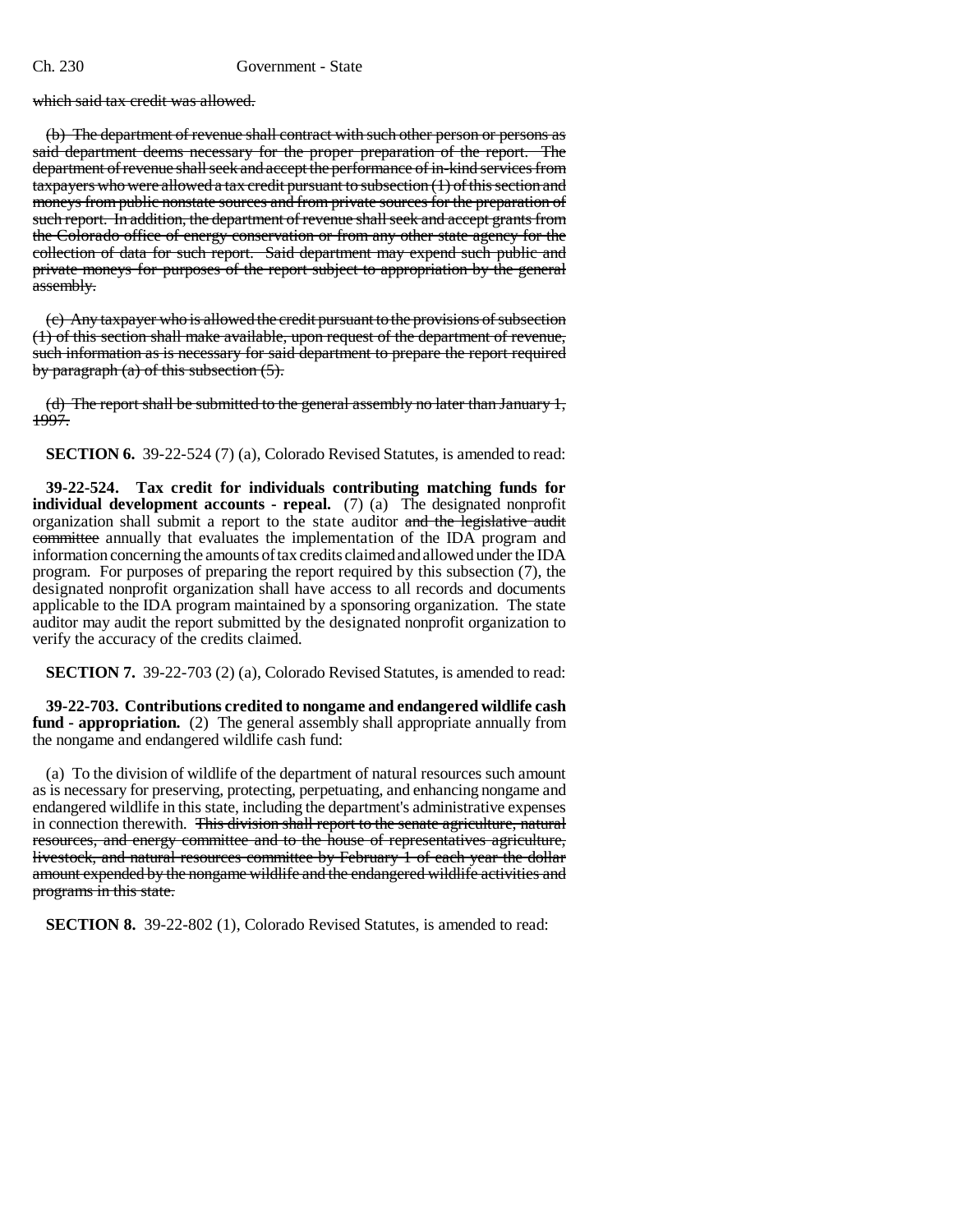which said tax credit was allowed.

(b) The department of revenue shall contract with such other person or persons as said department deems necessary for the proper preparation of the report. The department of revenue shall seek and accept the performance of in-kind services from taxpayers who were allowed a tax credit pursuant to subsection (1) of this section and moneys from public nonstate sources and from private sources for the preparation of such report. In addition, the department of revenue shall seek and accept grants from the Colorado office of energy conservation or from any other state agency for the collection of data for such report. Said department may expend such public and private moneys for purposes of the report subject to appropriation by the general assembly.

(c) Any taxpayer who is allowed the credit pursuant to the provisions of subsection (1) of this section shall make available, upon request of the department of revenue, such information as is necessary for said department to prepare the report required by paragraph  $(a)$  of this subsection  $(5)$ .

(d) The report shall be submitted to the general assembly no later than January 1, 1997.

**SECTION 6.** 39-22-524 (7) (a), Colorado Revised Statutes, is amended to read:

**39-22-524. Tax credit for individuals contributing matching funds for individual development accounts - repeal.** (7) (a) The designated nonprofit organization shall submit a report to the state auditor and the legislative audit committee annually that evaluates the implementation of the IDA program and information concerning the amounts of tax credits claimed and allowed under the IDA program. For purposes of preparing the report required by this subsection (7), the designated nonprofit organization shall have access to all records and documents applicable to the IDA program maintained by a sponsoring organization. The state auditor may audit the report submitted by the designated nonprofit organization to verify the accuracy of the credits claimed.

**SECTION 7.** 39-22-703 (2) (a), Colorado Revised Statutes, is amended to read:

**39-22-703. Contributions credited to nongame and endangered wildlife cash fund - appropriation.** (2) The general assembly shall appropriate annually from the nongame and endangered wildlife cash fund:

(a) To the division of wildlife of the department of natural resources such amount as is necessary for preserving, protecting, perpetuating, and enhancing nongame and endangered wildlife in this state, including the department's administrative expenses in connection therewith. This division shall report to the senate agriculture, natural resources, and energy committee and to the house of representatives agriculture, livestock, and natural resources committee by February 1 of each year the dollar amount expended by the nongame wildlife and the endangered wildlife activities and programs in this state.

**SECTION 8.** 39-22-802 (1), Colorado Revised Statutes, is amended to read: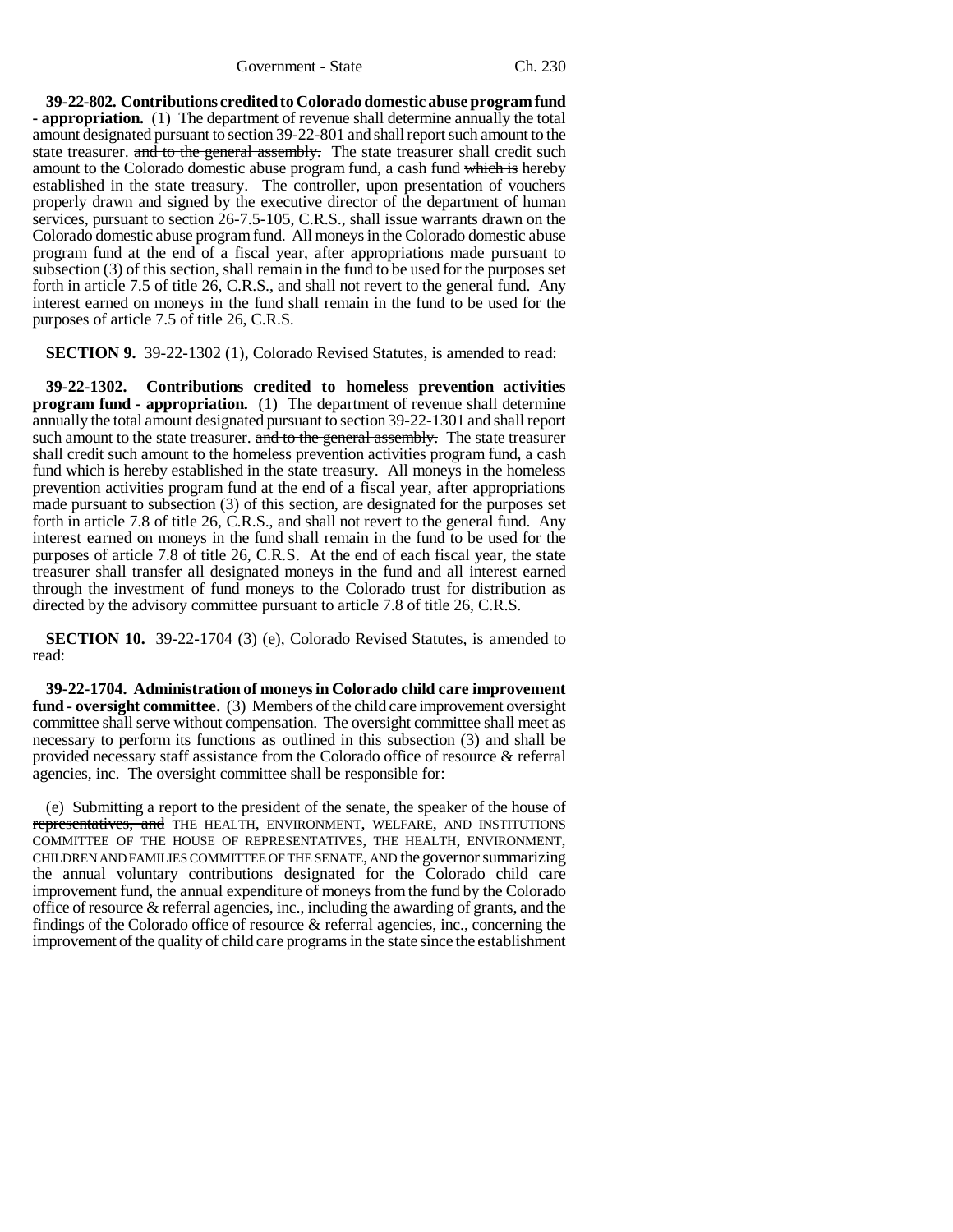**39-22-802. Contributions credited to Colorado domestic abuse program fund - appropriation.** (1) The department of revenue shall determine annually the total amount designated pursuant to section 39-22-801 and shall report such amount to the state treasurer. and to the general assembly. The state treasurer shall credit such amount to the Colorado domestic abuse program fund, a cash fund which is hereby established in the state treasury. The controller, upon presentation of vouchers properly drawn and signed by the executive director of the department of human services, pursuant to section 26-7.5-105, C.R.S., shall issue warrants drawn on the Colorado domestic abuse program fund. All moneys in the Colorado domestic abuse program fund at the end of a fiscal year, after appropriations made pursuant to subsection (3) of this section, shall remain in the fund to be used for the purposes set forth in article 7.5 of title 26, C.R.S., and shall not revert to the general fund. Any interest earned on moneys in the fund shall remain in the fund to be used for the purposes of article 7.5 of title 26, C.R.S.

**SECTION 9.** 39-22-1302 (1), Colorado Revised Statutes, is amended to read:

**39-22-1302. Contributions credited to homeless prevention activities program fund - appropriation.** (1) The department of revenue shall determine annually the total amount designated pursuant to section 39-22-1301 and shall report such amount to the state treasurer. and to the general assembly. The state treasurer shall credit such amount to the homeless prevention activities program fund, a cash fund which is hereby established in the state treasury. All moneys in the homeless prevention activities program fund at the end of a fiscal year, after appropriations made pursuant to subsection (3) of this section, are designated for the purposes set forth in article 7.8 of title 26, C.R.S., and shall not revert to the general fund. Any interest earned on moneys in the fund shall remain in the fund to be used for the purposes of article 7.8 of title 26, C.R.S. At the end of each fiscal year, the state treasurer shall transfer all designated moneys in the fund and all interest earned through the investment of fund moneys to the Colorado trust for distribution as directed by the advisory committee pursuant to article 7.8 of title 26, C.R.S.

**SECTION 10.** 39-22-1704 (3) (e), Colorado Revised Statutes, is amended to read:

**39-22-1704. Administration of moneys in Colorado child care improvement fund - oversight committee.** (3) Members of the child care improvement oversight committee shall serve without compensation. The oversight committee shall meet as necessary to perform its functions as outlined in this subsection (3) and shall be provided necessary staff assistance from the Colorado office of resource & referral agencies, inc. The oversight committee shall be responsible for:

(e) Submitting a report to the president of the senate, the speaker of the house of representatives, and THE HEALTH, ENVIRONMENT, WELFARE, AND INSTITUTIONS COMMITTEE OF THE HOUSE OF REPRESENTATIVES, THE HEALTH, ENVIRONMENT, CHILDREN AND FAMILIES COMMITTEE OF THE SENATE, AND the governor summarizing the annual voluntary contributions designated for the Colorado child care improvement fund, the annual expenditure of moneys from the fund by the Colorado office of resource & referral agencies, inc., including the awarding of grants, and the findings of the Colorado office of resource & referral agencies, inc., concerning the improvement of the quality of child care programs in the state since the establishment